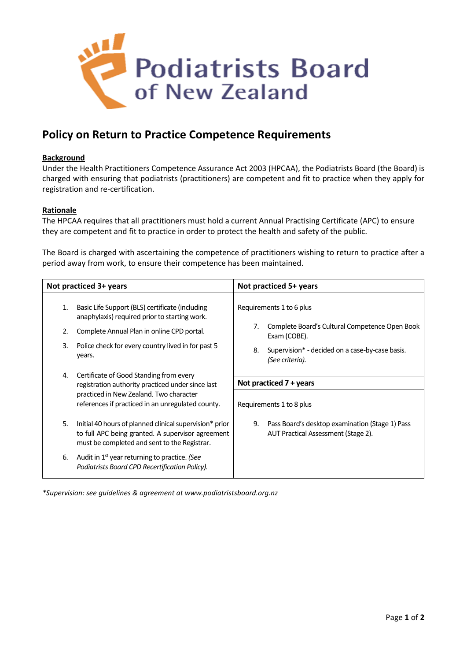

# **Policy on Return to Practice Competence Requirements**

### **Background**

Under the Health Practitioners Competence Assurance Act 2003 (HPCAA), the Podiatrists Board (the Board) is charged with ensuring that podiatrists (practitioners) are competent and fit to practice when they apply for registration and re-certification.

#### **Rationale**

The HPCAA requires that all practitioners must hold a current Annual Practising Certificate (APC) to ensure they are competent and fit to practice in order to protect the health and safety of the public.

The Board is charged with ascertaining the competence of practitioners wishing to return to practice after a period away from work, to ensure their competence has been maintained.

| Not practiced 3+ years |                                                                                                                                                              | Not practiced 5+ years                                                                           |
|------------------------|--------------------------------------------------------------------------------------------------------------------------------------------------------------|--------------------------------------------------------------------------------------------------|
| 1.<br>2.               | Basic Life Support (BLS) certificate (including<br>anaphylaxis) required prior to starting work.<br>Complete Annual Plan in online CPD portal.               | Requirements 1 to 6 plus<br>Complete Board's Cultural Competence Open Book<br>7.<br>Exam (COBE). |
| 3.                     | Police check for every country lived in for past 5<br>years.                                                                                                 | 8.<br>Supervision* - decided on a case-by-case basis.<br>(See criteria).                         |
| 4.                     | Certificate of Good Standing from every                                                                                                                      | Not practiced $7 + \gamma$ ears                                                                  |
|                        | registration authority practiced under since last<br>practiced in New Zealand. Two character<br>references if practiced in an unregulated county.            | Requirements 1 to 8 plus                                                                         |
| 5.                     | Initial 40 hours of planned clinical supervision* prior<br>to full APC being granted. A supervisor agreement<br>must be completed and sent to the Registrar. | Pass Board's desktop examination (Stage 1) Pass<br>9.<br>AUT Practical Assessment (Stage 2).     |
| 6.                     | Audit in 1 <sup>st</sup> year returning to practice. (See<br>Podiatrists Board CPD Recertification Policy).                                                  |                                                                                                  |

*\*Supervision: see guidelines & agreement at www.podiatristsboard.org.nz*